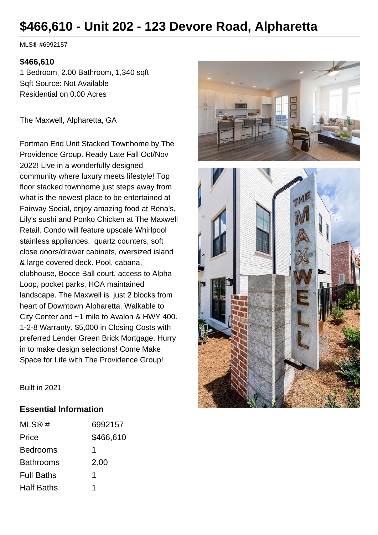# **\$466,610 - Unit 202 - 123 Devore Road, Alpharetta**

MLS® #6992157

### **\$466,610**

1 Bedroom, 2.00 Bathroom, 1,340 sqft Sqft Source: Not Available Residential on 0.00 Acres

The Maxwell, Alpharetta, GA

Fortman End Unit Stacked Townhome by The Providence Group. Ready Late Fall Oct/Nov 2022! Live in a wonderfully designed community where luxury meets lifestyle! Top floor stacked townhome just steps away from what is the newest place to be entertained at Fairway Social, enjoy amazing food at Rena's, Lily's sushi and Ponko Chicken at The Maxwell Retail. Condo will feature upscale Whirlpool stainless appliances, quartz counters, soft close doors/drawer cabinets, oversized island & large covered deck. Pool, cabana, clubhouse, Bocce Ball court, access to Alpha Loop, pocket parks, HOA maintained landscape. The Maxwell is just 2 blocks from heart of Downtown Alpharetta. Walkable to City Center and ~1 mile to Avalon & HWY 400. 1-2-8 Warranty. \$5,000 in Closing Costs with preferred Lender Green Brick Mortgage. Hurry in to make design selections! Come Make Space for Life with The Providence Group!



Built in 2021

#### **Essential Information**

| MLS@#             | 6992157   |
|-------------------|-----------|
| Price             | \$466,610 |
| <b>Bedrooms</b>   | 1         |
| <b>Bathrooms</b>  | 2.00      |
| <b>Full Baths</b> | 1         |
| <b>Half Baths</b> | 1         |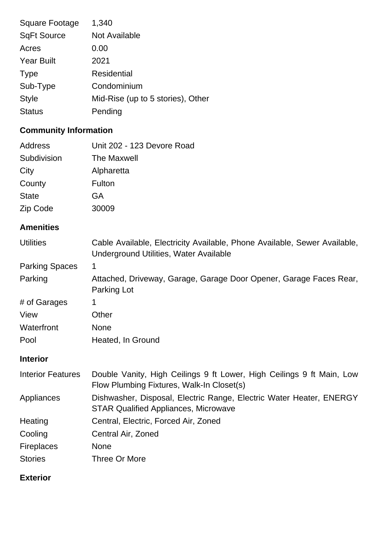| <b>Square Footage</b> | 1,340                             |
|-----------------------|-----------------------------------|
| <b>SqFt Source</b>    | Not Available                     |
| Acres                 | 0.00                              |
| <b>Year Built</b>     | 2021                              |
| <b>Type</b>           | Residential                       |
| Sub-Type              | Condominium                       |
| <b>Style</b>          | Mid-Rise (up to 5 stories), Other |
| <b>Status</b>         | Pending                           |
|                       |                                   |

# **Community Information**

| <b>Address</b>           | Unit 202 - 123 Devore Road                                                                                          |
|--------------------------|---------------------------------------------------------------------------------------------------------------------|
| Subdivision              | <b>The Maxwell</b>                                                                                                  |
| City                     | Alpharetta                                                                                                          |
| County                   | Fulton                                                                                                              |
| <b>State</b>             | <b>GA</b>                                                                                                           |
| Zip Code                 | 30009                                                                                                               |
| <b>Amenities</b>         |                                                                                                                     |
| <b>Utilities</b>         | Cable Available, Electricity Available, Phone Available, Sewer Available,<br>Underground Utilities, Water Available |
| <b>Parking Spaces</b>    | 1                                                                                                                   |
| Parking                  | Attached, Driveway, Garage, Garage Door Opener, Garage Faces Rear,<br>Parking Lot                                   |
| # of Garages             | 1                                                                                                                   |
| View                     | Other                                                                                                               |
| Waterfront               | None                                                                                                                |
| Pool                     | Heated, In Ground                                                                                                   |
| <b>Interior</b>          |                                                                                                                     |
| <b>Interior Features</b> | Double Vanity, High Ceilings 9 ft Lower, High Ceilings 9 ft Main, Low<br>Flow Plumbing Fixtures, Walk-In Closet(s)  |
| Appliances               | Dishwasher, Disposal, Electric Range, Electric Water Heater, ENERGY<br><b>STAR Qualified Appliances, Microwave</b>  |
| Heating                  | Central, Electric, Forced Air, Zoned                                                                                |
| Cooling                  | Central Air, Zoned                                                                                                  |
| <b>Fireplaces</b>        | <b>None</b>                                                                                                         |
| <b>Stories</b>           | Three Or More                                                                                                       |

## **Exterior**